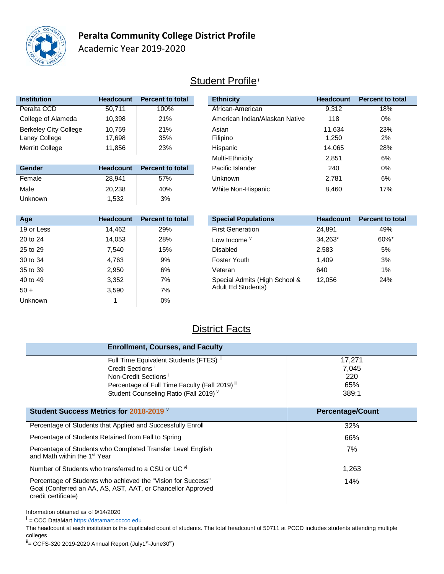

## **Peralta Community College District Profile**

Academic Year 2019-2020

## **Student Profile**<sup>i</sup>

| <b>Institution</b>           | <b>Headcount</b> | <b>Percent to total</b> |
|------------------------------|------------------|-------------------------|
| Peralta CCD                  | 50,711           | 100%                    |
| College of Alameda           | 10,398           | 21%                     |
| <b>Berkeley City College</b> | 10.759           | 21%                     |
| Laney College                | 17,698           | 35%                     |
| <b>Merritt College</b>       | 11,856           | 23%                     |

| Gender  | <b>Headcount</b> | <b>Percent to total</b> |
|---------|------------------|-------------------------|
| Female  | 28.941           | .57%                    |
| Male    | 20.238           | 40%                     |
| Unknown | 1.532            | 3%                      |

| Institution                  | <b>Headcount</b> | <b>Percent to total</b> | <b>Ethnicity</b>               | <b>Headcount</b> | <b>Percent to total</b> |  |
|------------------------------|------------------|-------------------------|--------------------------------|------------------|-------------------------|--|
| Peralta CCD                  | 50.711           | 100%                    | African-American               | 9,312            | 18%                     |  |
| College of Alameda           | 10,398           | 21%                     | American Indian/Alaskan Native | 118              | 0%                      |  |
| <b>Berkeley City College</b> | 10,759           | 21%                     | Asian                          | 11,634           | 23%                     |  |
| Laney College                | 17,698           | 35%                     | Filipino                       | 1,250            | 2%                      |  |
| Merritt College              | 11,856           | 23%                     | Hispanic                       | 14,065           | 28%                     |  |
|                              |                  |                         | Multi-Ethnicity                | 2,851            | 6%                      |  |
| <b>Gender</b>                | <b>Headcount</b> | <b>Percent to total</b> | Pacific Islander               | 240              | 0%                      |  |
| Female                       | 28,941           | 57%                     | Unknown                        | 2,781            | 6%                      |  |
| Male                         | 20,238           | 40%                     | White Non-Hispanic             | 8,460            | 17%                     |  |
|                              |                  |                         |                                |                  |                         |  |

| Age            | <b>Headcount</b> | <b>Percent to total</b> | <b>Special Populations</b>    | <b>Headcount</b> | <b>Percent to total</b> |
|----------------|------------------|-------------------------|-------------------------------|------------------|-------------------------|
| 19 or Less     | 14,462           | 29%                     | <b>First Generation</b>       | 24,891           | 49%                     |
| 20 to 24       | 14,053           | 28%                     | Low Income <sup>v</sup>       | 34,263*          | $60\%$ *                |
| 25 to 29       | 7,540            | 15%                     | <b>Disabled</b>               | 2,583            | 5%                      |
| 30 to 34       | 4,763            | 9%                      | Foster Youth                  | 1,409            | 3%                      |
| 35 to 39       | 2,950            | 6%                      | Veteran                       | 640              | 1%                      |
| 40 to 49       | 3,352            | 7%                      | Special Admits (High School & | 12,056           | 24%                     |
| $50 +$         | 3,590            | 7%                      | Adult Ed Students)            |                  |                         |
| <b>Unknown</b> |                  | $0\%$                   |                               |                  |                         |

## **District Facts**

| <b>Enrollment, Courses, and Faculty</b>                                                                                                                                                                             |                                        |
|---------------------------------------------------------------------------------------------------------------------------------------------------------------------------------------------------------------------|----------------------------------------|
| Full Time Equivalent Students (FTES) ii<br>Credit Sections <sup>1</sup><br>Non-Credit Sections <sup>1</sup><br>Percentage of Full Time Faculty (Fall 2019) <sup>III</sup><br>Student Counseling Ratio (Fall 2019) V | 17,271<br>7,045<br>220<br>65%<br>389:1 |
| Student Success Metrics for 2018-2019 <sup>iv</sup>                                                                                                                                                                 | <b>Percentage/Count</b>                |
| Percentage of Students that Applied and Successfully Enroll                                                                                                                                                         | 32%                                    |
| Percentage of Students Retained from Fall to Spring                                                                                                                                                                 | 66%                                    |
| Percentage of Students who Completed Transfer Level English<br>and Math within the 1 <sup>st</sup> Year                                                                                                             | 7%                                     |
| Number of Students who transferred to a CSU or UC vi                                                                                                                                                                | 1,263                                  |
| Percentage of Students who achieved the "Vision for Success"<br>Goal (Conferred an AA, AS, AST, AAT, or Chancellor Approved<br>credit certificate)                                                                  | 14%                                    |

Information obtained as of 9/14/2020

<sup>i</sup> = CCC DataMart [https://datamart.cccco.edu](https://datamart.cccco.edu/)

The headcount at each institution is the duplicated count of students. The total headcount of 50711 at PCCD includes students attending multiple colleges

 $i =$  CCFS-320 2019-2020 Annual Report (July1st-June30<sup>th</sup>)